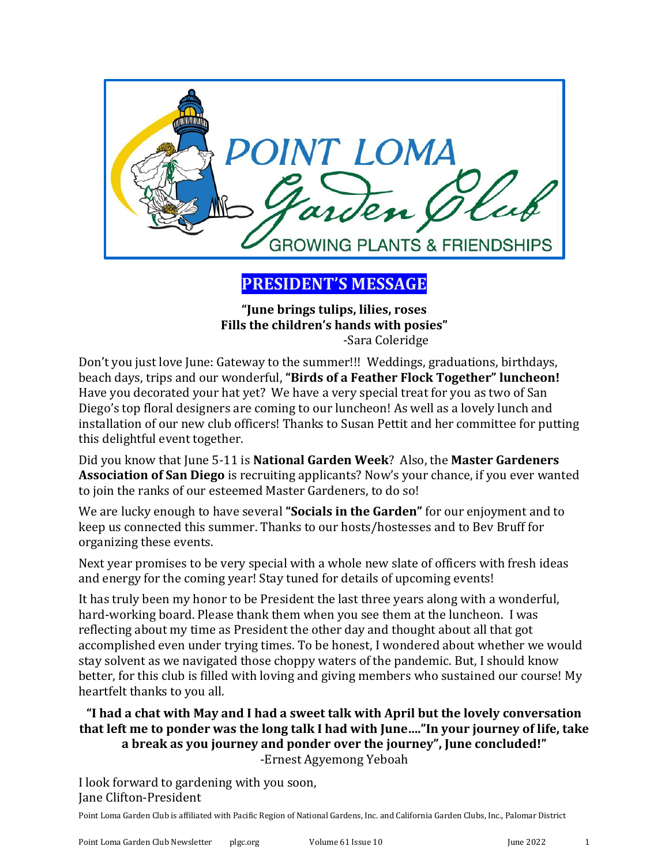

**PRESIDENT'S MESSAGE**

**"June brings tulips, lilies, roses Fills the children's hands with posies"** -Sara Coleridge

Don't you just love June: Gateway to the summer!!! Weddings, graduations, birthdays, beach days, trips and our wonderful, **"Birds of a Feather Flock Together" luncheon!** Have you decorated your hat yet? We have a very special treat for you as two of San Diego's top floral designers are coming to our luncheon! As well as a lovely lunch and installation of our new club officers! Thanks to Susan Pettit and her committee for putting this delightful event together.

Did you know that June 5-11 is **National Garden Week**? Also, the **Master Gardeners Association of San Diego** is recruiting applicants? Now's your chance, if you ever wanted to join the ranks of our esteemed Master Gardeners, to do so!

We are lucky enough to have several **"Socials in the Garden"** for our enjoyment and to keep us connected this summer. Thanks to our hosts/hostesses and to Bev Bruff for organizing these events.

Next year promises to be very special with a whole new slate of officers with fresh ideas and energy for the coming year! Stay tuned for details of upcoming events!

It has truly been my honor to be President the last three years along with a wonderful, hard-working board. Please thank them when you see them at the luncheon. I was reflecting about my time as President the other day and thought about all that got accomplished even under trying times. To be honest, I wondered about whether we would stay solvent as we navigated those choppy waters of the pandemic. But, I should know better, for this club is filled with loving and giving members who sustained our course! My heartfelt thanks to you all.

**"I had a chat with May and I had a sweet talk with April but the lovely conversation that left me to ponder was the long talk I had with June…."In your journey of life, take a break as you journey and ponder over the journey", June concluded!"**  -Ernest Agyemong Yeboah

I look forward to gardening with you soon, Jane Clifton-President

Point Loma Garden Club is affiliated with Pacific Region of National Gardens, Inc. and California Garden Clubs, Inc., Palomar District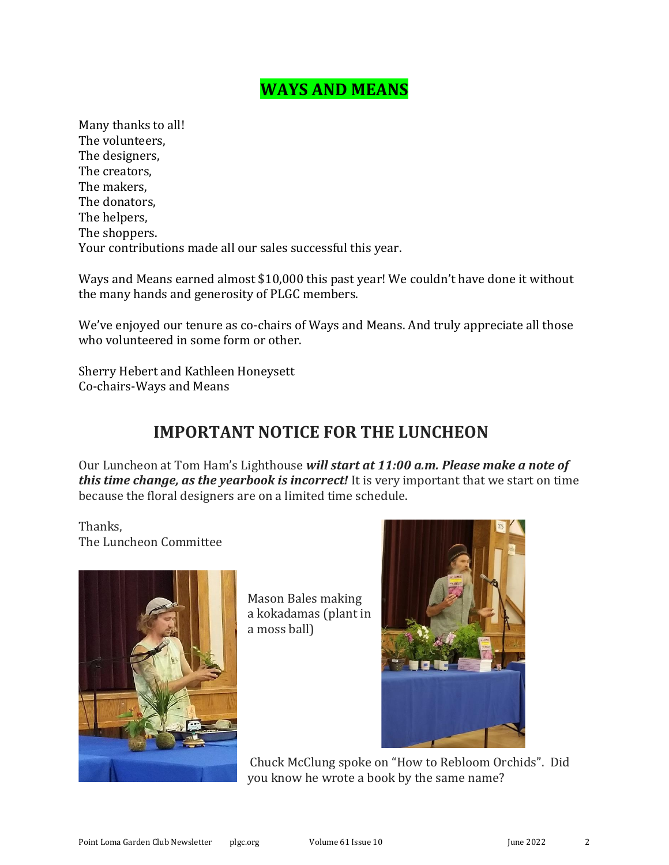#### **WAYS AND MEANS**

Many thanks to all! The volunteers, The designers, The creators, The makers, The donators, The helpers, The shoppers. Your contributions made all our sales successful this year.

Ways and Means earned almost \$10,000 this past year! We couldn't have done it without the many hands and generosity of PLGC members.

We've enjoyed our tenure as co-chairs of Ways and Means. And truly appreciate all those who volunteered in some form or other.

Sherry Hebert and Kathleen Honeysett Co-chairs-Ways and Means

#### **IMPORTANT NOTICE FOR THE LUNCHEON**

Our Luncheon at Tom Ham's Lighthouse *will start at 11:00 a.m. Please make a note of this time change, as the yearbook is incorrect!* It is very important that we start on time because the floral designers are on a limited time schedule.

Thanks, The Luncheon Committee



Mason Bales making a kokadamas (plant in a moss ball)



Chuck McClung spoke on "How to Rebloom Orchids". Did you know he wrote a book by the same name?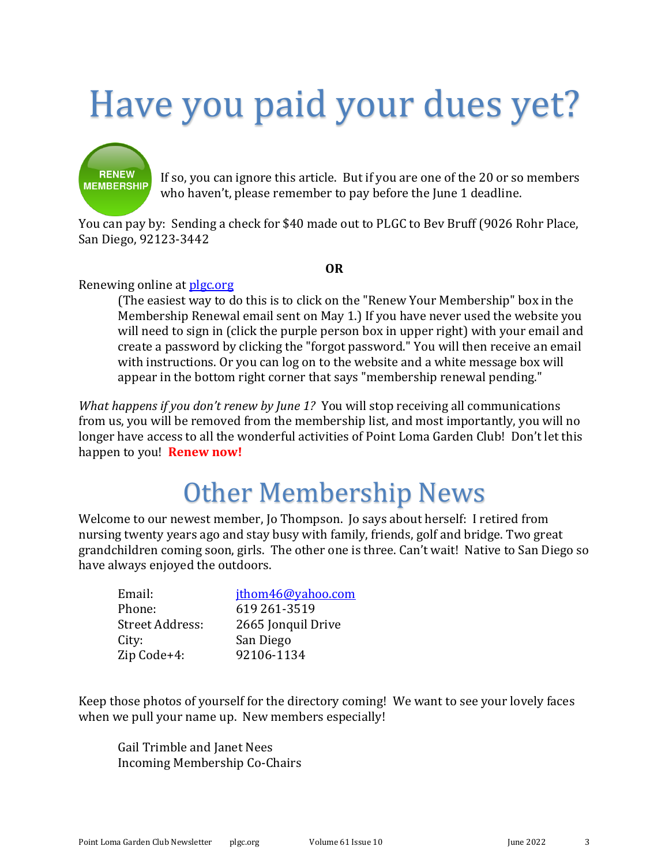# Have you paid your dues yet?



If so, you can ignore this article. But if you are one of the 20 or so members who haven't, please remember to pay before the June 1 deadline.

You can pay by: Sending a check for \$40 made out to PLGC to Bev Bruff (9026 Rohr Place, San Diego, 92123-3442

#### **OR**

#### Renewing online at [plgc.org](file:///C:/Users/mmcgr/Downloads/plgc.org)

(The easiest way to do this is to click on the "Renew Your Membership" box in the Membership Renewal email sent on May 1.) If you have never used the website you will need to sign in (click the purple person box in upper right) with your email and create a password by clicking the "forgot password." You will then receive an email with instructions. Or you can log on to the website and a white message box will appear in the bottom right corner that says "membership renewal pending."

*What happens if you don't renew by June 1?* You will stop receiving all communications from us, you will be removed from the membership list, and most importantly, you will no longer have access to all the wonderful activities of Point Loma Garden Club! Don't let this happen to you! **Renew now!**

## Other Membership News

Welcome to our newest member, Jo Thompson. Jo says about herself: I retired from nursing twenty years ago and stay busy with family, friends, golf and bridge. Two great grandchildren coming soon, girls. The other one is three. Can't wait! Native to San Diego so have always enjoyed the outdoors.

| Email:          | jthom46@yahoo.com  |
|-----------------|--------------------|
| Phone:          | 619 261-3519       |
| Street Address: | 2665 Jonquil Drive |
| City:           | San Diego          |
| Zip Code+4:     | 92106-1134         |

Keep those photos of yourself for the directory coming! We want to see your lovely faces when we pull your name up. New members especially!

Gail Trimble and Janet Nees Incoming Membership Co-Chairs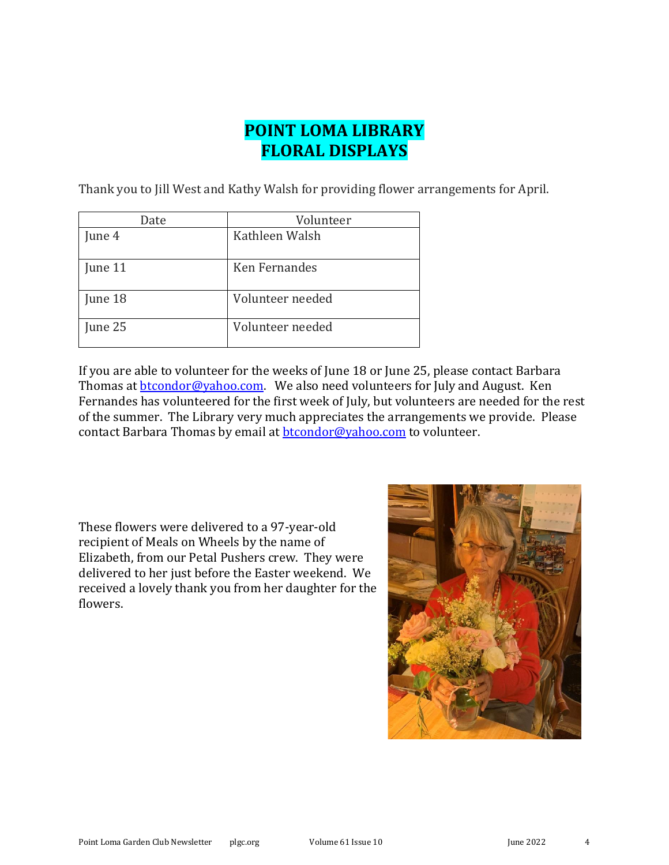### **POINT LOMA LIBRARY FLORAL DISPLAYS**

Thank you to Jill West and Kathy Walsh for providing flower arrangements for April.

| Date    | Volunteer        |
|---------|------------------|
| June 4  | Kathleen Walsh   |
| June 11 | Ken Fernandes    |
| June 18 | Volunteer needed |
| June 25 | Volunteer needed |

If you are able to volunteer for the weeks of June 18 or June 25, please contact Barbara Thomas at **btcondor@yahoo.com.** We also need volunteers for July and August. Ken Fernandes has volunteered for the first week of July, but volunteers are needed for the rest of the summer. The Library very much appreciates the arrangements we provide. Please contact Barbara Thomas by email at **btcondor@yahoo.com** to volunteer.

These flowers were delivered to a 97-year-old recipient of Meals on Wheels by the name of Elizabeth, from our Petal Pushers crew. They were delivered to her just before the Easter weekend. We received a lovely thank you from her daughter for the flowers.

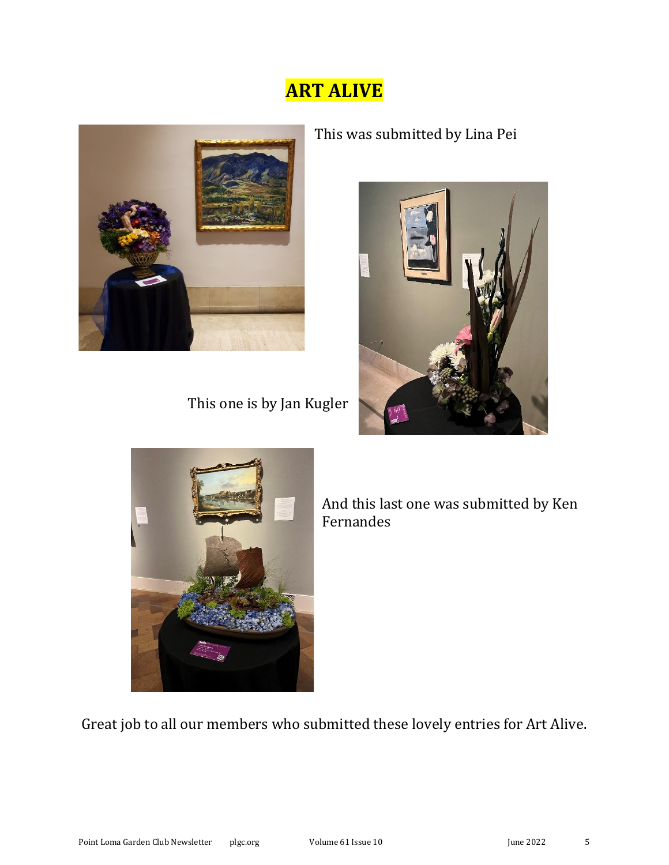## **ART ALIVE**



This one is by Jan Kugler

This was submitted by Lina Pei





 And this last one was submitted by Ken Fernandes

Great job to all our members who submitted these lovely entries for Art Alive.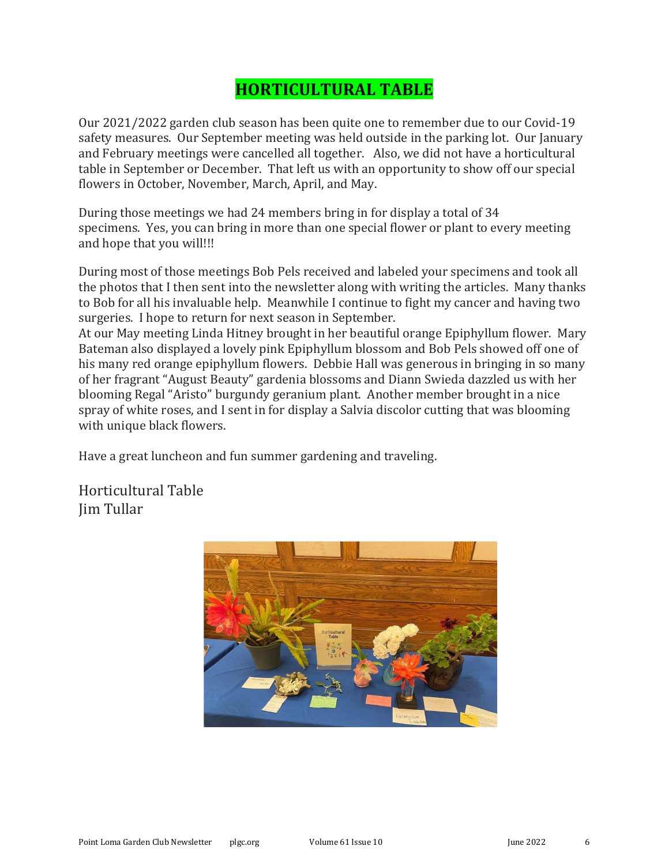#### **HORTICULTURAL TABLE**

Our 2021/2022 garden club season has been quite one to remember due to our Covid-19 safety measures. Our September meeting was held outside in the parking lot. Our January and February meetings were cancelled all together. Also, we did not have a horticultural table in September or December. That left us with an opportunity to show off our special flowers in October, November, March, April, and May.

During those meetings we had 24 members bring in for display a total of 34 specimens. Yes, you can bring in more than one special flower or plant to every meeting and hope that you will!!!

During most of those meetings Bob Pels received and labeled your specimens and took all the photos that I then sent into the newsletter along with writing the articles. Many thanks to Bob for all his invaluable help. Meanwhile I continue to fight my cancer and having two surgeries. I hope to return for next season in September.

At our May meeting Linda Hitney brought in her beautiful orange Epiphyllum flower. Mary Bateman also displayed a lovely pink Epiphyllum blossom and Bob Pels showed off one of his many red orange epiphyllum flowers. Debbie Hall was generous in bringing in so many of her fragrant "August Beauty" gardenia blossoms and Diann Swieda dazzled us with her blooming Regal "Aristo" burgundy geranium plant. Another member brought in a nice spray of white roses, and I sent in for display a Salvia discolor cutting that was blooming with unique black flowers.

Have a great luncheon and fun summer gardening and traveling.

Horticultural Table Jim Tullar

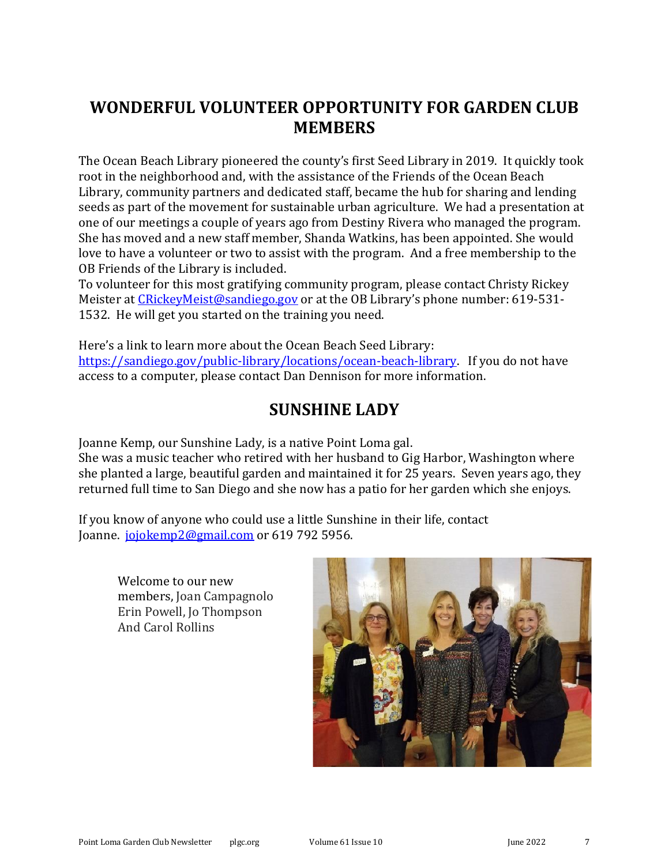#### **WONDERFUL VOLUNTEER OPPORTUNITY FOR GARDEN CLUB MEMBERS**

The Ocean Beach Library pioneered the county's first Seed Library in 2019. It quickly took root in the neighborhood and, with the assistance of the Friends of the Ocean Beach Library, community partners and dedicated staff, became the hub for sharing and lending seeds as part of the movement for sustainable urban agriculture. We had a presentation at one of our meetings a couple of years ago from Destiny Rivera who managed the program. She has moved and a new staff member, Shanda Watkins, has been appointed. She would love to have a volunteer or two to assist with the program. And a free membership to the OB Friends of the Library is included.

To volunteer for this most gratifying community program, please contact Christy Rickey Meister at [CRickeyMeist@sandiego.gov](mailto:CRickeyMeist@sandiego.gov) or at the OB Library's phone number: 619-531-1532. He will get you started on the training you need.

Here's a link to learn more about the Ocean Beach Seed Library: [https://sandiego.gov/public-library/locations/ocean-beach-library.](https://sandiego.gov/public-library/locations/ocean-beach-library) If you do not have access to a computer, please contact Dan Dennison for more information.

#### **SUNSHINE LADY**

Joanne Kemp, our Sunshine Lady, is a native Point Loma gal.

She was a music teacher who retired with her husband to Gig Harbor, Washington where she planted a large, beautiful garden and maintained it for 25 years. Seven years ago, they returned full time to San Diego and she now has a patio for her garden which she enjoys.

If you know of anyone who could use a little Sunshine in their life, contact Joanne. [jojokemp2@gmail.com](mailto:jojokemp2@gmail.com) or 619 792 5956.

Welcome to our new members, Joan Campagnolo Erin Powell, Jo Thompson And Carol Rollins